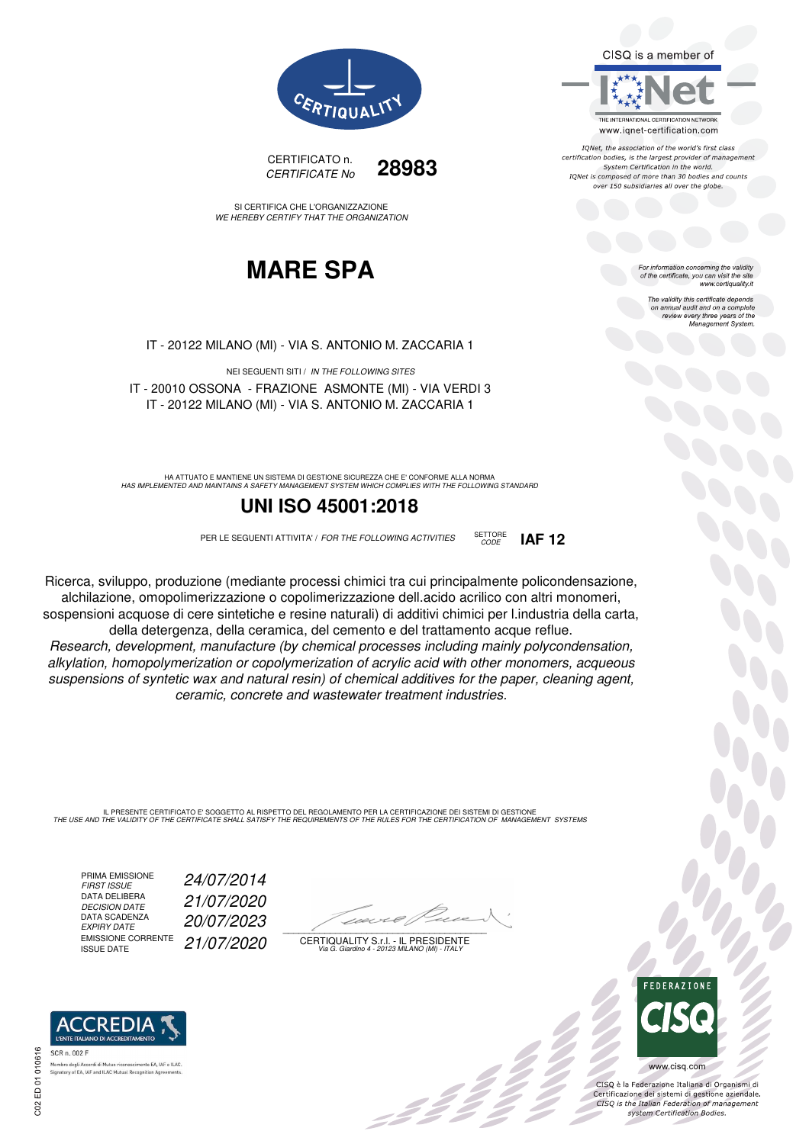CISQ is a member of



IQNet, the association of the world's first class certification bodies, is the largest provider of management System Certification in the world. IONet is composed of more than 30 bodies and counts over 150 subsidiaries all over the globe.

CODE **IAF 12**

or information concerning the validity of the certificate, you can visit the site www.certiquality.it

> The validity this certificate depends The validity this certificate depends<br>on annual audit and on a complete<br>review every three years of the<br>Management System.



CERTIFICATO n. CERTIFICATE No **28983**

SI CERTIFICA CHE L'ORGANIZZAZIONE WE HEREBY CERTIFY THAT THE ORGANIZATION

## **MARE SPA**

IT - 20122 MILANO (MI) - VIA S. ANTONIO M. ZACCARIA 1

NEI SEGUENTI SITI / IN THE FOLLOWING SITES IT - 20010 OSSONA - FRAZIONE ASMONTE (MI) - VIA VERDI 3 IT - 20122 MILANO (MI) - VIA S. ANTONIO M. ZACCARIA 1

HA ATTUATO E MANTIENE UN SISTEMA DI GESTIONE SICUREZZA CHE E' CONFORME ALLA NORMA<br>HAS IMPLEMENTED AND MAINTAINS A SAFETY MANAGEMENT SYSTEM WHICH COMPLIES WITH THE FOLLOWING STANDARD

### **UNI ISO 45001:2018**

PER LE SEGUENTI ATTIVITA' / FOR THE FOLLOWING ACTIVITIES SETTORE

Ricerca, sviluppo, produzione (mediante processi chimici tra cui principalmente policondensazione, alchilazione, omopolimerizzazione o copolimerizzazione dell.acido acrilico con altri monomeri, sospensioni acquose di cere sintetiche e resine naturali) di additivi chimici per l.industria della carta, della detergenza, della ceramica, del cemento e del trattamento acque reflue.

Research, development, manufacture (by chemical processes including mainly polycondensation, alkylation, homopolymerization or copolymerization of acrylic acid with other monomers, acqueous suspensions of syntetic wax and natural resin) of chemical additives for the paper, cleaning agent, ceramic, concrete and wastewater treatment industries.

IL PRESENTE CERTIFICATO E' SOGGETTO AL RISPETTO DEL REGOLAMENTO PER LA CERTIFICAZIONE DEI SISTEMI DI GESTIONE<br>THE USE AND THE VALIDITY OF THE CERTIFICATE SHALL SATISFY THE REQUIREMENTS OF THE RULES FOR THE CERTIFICATION OF

PRIMA EMISSIONE<br>FIRST ISSUE DATA DELIBERA<br>DECISION DATE DATA SCADENZA<br>EXPIRY DATE EMISSIONE CORRENTE<br>ISSUE DATE

FIRST ISSUE 24/07/2014 DECISION DATE 21/07/2020 EXPIRY DATE 20/07/2023 21/07/2020

 $\overline{\phantom{a}}$ 

:422

CERTIQUALITY S.r.l. - IL PRESIDENTE Via G. Giardino 4 - 20123 MILANO (MI) - ITALY



 $\frac{1}{2}$ 

www.cisq.com

CISO è la Federazione Italiana di Organismi di CISQ e la regerazione italiana di Organismi di<br>Certificazione dei sistemi di gestione aziendale.<br>CISQ is the Italian Federation of management system Certification Bodies.



.<br>Membro degli Accordi di Mutuo riconoscimento EA, IAF<br>Signatory of EA, IAF and ILAC Mutual Recognition Agree nento EA, IAF e ILAC